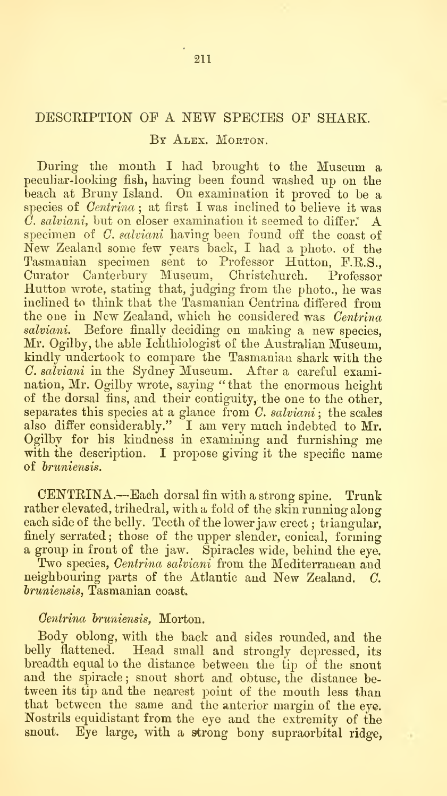## DESCRIPTION OF A NEW SPECIES OF SHARK.

## BY ALEX. MORTON.

During the month I had brought to the Museum a peculiar-looking fish, having been found washed up on the beach at Bruny Island. On examination it proved to be a species of  $Centrina$ ; at first I was inclined to believe it was C. salviani, but on closer examination it seemed to differ. A specimen of C. salviani having been found off the coast of  $\tilde{New}$  Zealand some few years back, I had a photo, of the Tasmanian specimen sent to Professor Hutton, F.R.S., Curator Canterbury Museum, Christchurch. Professor Hutton wrote, stating that, judging from the photo., he was inclined to think that the Tasmanian Centrina differed from the one in New Zealand, which he considered was Centrina salviani. Before finally deciding on making a new species, Mr. Ogilby, the able Ichthiologist of the Australian Museum, kindly undertook to compare the Tasmanian shark with the  $C.$  salviani in the Sydney Museum. After a careful examination, Mr. Ogilby wrote, saying " that the enormous height of the dorsal fins, and their contiguity, the one to the other, separates this species at a glance from  $C$ . salviani; the scales also differ considerably." I am very much indebted to Mr. Ogilby for his kindness in examining and furnishing me with the description. I propose giving it the specific name of *bruniensis*.

CENTRINA.—Each dorsal fin with <sup>a</sup> strong spine. Trunk rather elevated, trihedral, with a fold of the skin running along each side of the belly. Teeth of the lower jaw erect; triangular, finely serrated; those of the upper slender, conical, forming<br>a group in front of the jaw. Spiracles wide, behind the eye.

Two species,  $Centrina$  salviani from the Mediterranean and neighbouring parts of the Atlantic and New Zealand. C. hruniensis, Tasmanian coast.

## Gentrina bruniensis, Morton.

Body oblong, with the back and sides rounded, and the belly flattened. Head small and strongly depressed, its breadth equal to the distance between the tip of the snout and the spiracle ; snout short and obtuse, the distance be tween its tip and the nearest point of the mouth less than that between the same and the anterior margin of the eye. Nostrils equidistant from the eye and the extremity of the snout. Eye large, with a strong bony supraorbital ridge,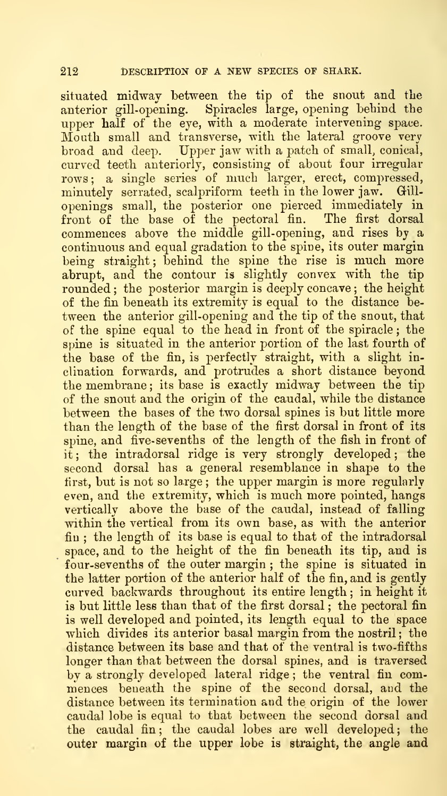situated midway between the tip of the snout and the anterior gill-opening. Spiracles large, opening behind the upper half of the eye, with a moderate intervening space. Mouth small and transverse, with the lateral groove very broad and deep. Upper jaw with a patch of small, conical, curved teeth anteriorly, consisting of about four irregular rows ; a single series of much larger, erect, compressed, minutely serrated, scalpriform teeth in the lower jaw. Gill openings small, the posterior one pierced immediately in front of the base of the pectoral fin. The first dorsal commences above the middle gill-opening, and rises by a continuous and equal gradation to the spine, its outer margin being straight; behind the spine the rise is much more abrupt, and the contour is slightly convex with the tip rounded; the posterior margin is deeply concave; the height of the fin beneath its extremity is equal to the distance be tween the anterior gill-opening and the tip of the snout, that of the spine equal to the head in front of the spiracle ; the spine is situated in the anterior portion of the last fourth of the base of the fin, is perfectly straight, with a slight inclination forwards, and protrudes a short distance beyond the membrane ; its base is exactly midway between the tip of the snout and the origin of the caudal, while the distance between the bases of the two dorsal spines is but little more than the length of the base of the first dorsal in front of its spine, and five- sevenths of the length of the fish in front of it ; the intradorsal ridge is very strongly developed ; the second dorsal has a general resemblance in shape to the first, but is not so large; the upper margin is more regularly even, and the extremity, which is much more pointed, hangs vertically above the base of the caudal, instead of falling within the vertical from its own base, as with the anterior fin ; the length of its base is equal to that of the intradorsal space, and to the height of the fin beneath its tip, and is four-sevenths of the outer margin ; the spine is situated in the latter portion of the anterior half of the fin, and is gently curved backwards throughout its entire length ; in height it is but little less than that of the first dorsal, the pectoral fin is well developed and pointed, its length equal to the space which divides its anterior basal margin from the nostril; the distance between its base and that of the ventral is two-fifths longer than that between the dorsal spines, and is traversed by a strongly developed lateral ridge ; the ventral fin com mences beneath the spine of the second dorsal, and the distance between its termination and the origin of the lower caudal lobe is equal to that between the second dorsal and the caudal fin; the caudal lobes are well developed; the outer margin of the upper lobe is straight, the angle and